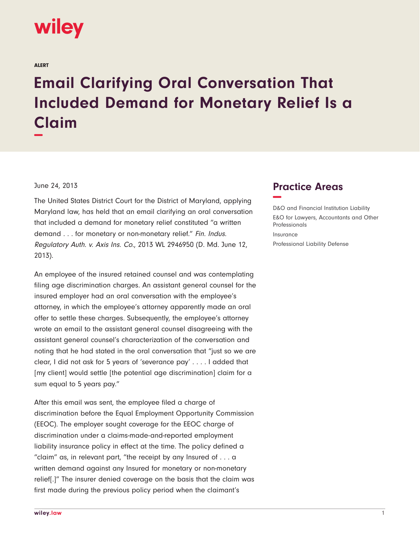

ALERT

## **Email Clarifying Oral Conversation That Included Demand for Monetary Relief Is a Claim −**

## June 24, 2013

The United States District Court for the District of Maryland, applying Maryland law, has held that an email clarifying an oral conversation that included a demand for monetary relief constituted "a written demand . . . for monetary or non-monetary relief." Fin. Indus. Regulatory Auth. v. Axis Ins. Co., 2013 WL 2946950 (D. Md. June 12, 2013).

An employee of the insured retained counsel and was contemplating filing age discrimination charges. An assistant general counsel for the insured employer had an oral conversation with the employee's attorney, in which the employee's attorney apparently made an oral offer to settle these charges. Subsequently, the employee's attorney wrote an email to the assistant general counsel disagreeing with the assistant general counsel's characterization of the conversation and noting that he had stated in the oral conversation that "just so we are clear, I did not ask for 5 years of 'severance pay' . . . . I added that [my client] would settle [the potential age discrimination] claim for a sum equal to 5 years pay."

After this email was sent, the employee filed a charge of discrimination before the Equal Employment Opportunity Commission (EEOC). The employer sought coverage for the EEOC charge of discrimination under a claims-made-and-reported employment liability insurance policy in effect at the time. The policy defined a "claim" as, in relevant part, "the receipt by any Insured of . . . a written demand against any Insured for monetary or non-monetary relief[.]" The insurer denied coverage on the basis that the claim was first made during the previous policy period when the claimant's

## **Practice Areas −**

D&O and Financial Institution Liability E&O for Lawyers, Accountants and Other Professionals Insurance Professional Liability Defense